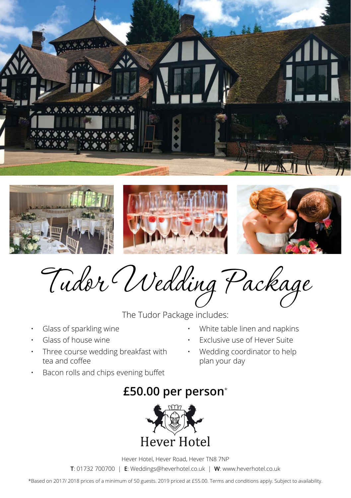







Tudor Wedding Package

The Tudor Package includes:

- Glass of sparkling wine
- Glass of house wine
- Three course wedding breakfast with tea and coffee
- Bacon rolls and chips evening buffet
- White table linen and napkins
- Exclusive use of Hever Suite
- Wedding coordinator to help plan your day

## **£50.00 per person**\*



Hever Hotel, Hever Road, Hever TN8 7NP

**T**: 01732 700700 | **E**: Weddings@heverhotel.co.uk | **W**: www.heverhotel.co.uk

\*Based on 2017/ 2018 prices of a minimum of 50 guests. 2019 priced at £55.00. Terms and conditions apply. Subject to availability.